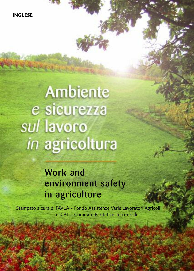**INGLESE**

# **Ambiente** e sicurezza sul lavoro in agricoltura

THE EXTREME

## **Work and environment safety in agriculture**

Stampato <sup>a</sup> cura di FAVLA - Fondo Assistenze Varie Lavoratori Agricoli <sup>e</sup> CPT - Comitato Paritetico Territoriale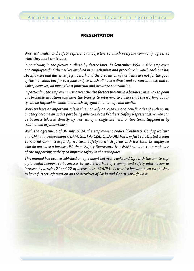#### **PRESENTATION**

*Workers' health and safety represent an objective to which everyone commonly agrees to what they must contribute.*

*In particular, in the picture outlined by decree laws. 19 September 1994 nr.626 employers and employees find themselves involved in a mechanism and procedure in which each one has specific roles and duties. Safety at work and the prevention of accidents are not for the good of the individual but for everyone and, to which all have a direct and current interest, and to which, however, all must give a punctual and accurate contribution.*

*In particular, the employer must assess the risk factors present in a business, in a way to point out probable situations and have the priority to intervene to ensure that the working activity can be fulfilled in conditions which safeguard human life and health.*

*Workers have an important role in this, not only as receivers and beneficiaries of such norms but they become an active part being able to elect a Workers' Safety Representative who can be business (elected directly by workers of a single business) or territorial (appointed by trade-union organizations).*

*With the agreement of 30 July 2004, the employment bodies (Coldiretti, Confagricoltura and CIA) and trade-unions (FLAI-CGIL, FAI-CISL, UILA-UIL) have, in fact constituted a Joint Territorial Committee for Agricultural Safety to which farms with less than 15 employees who do not have a business Workers' Safety Representative (WSR) can adhere to make use of the supporting activity to improve safety in the workplace.*

*This manual has been established on agreement between Favla and Cpt with the aim to supply a useful support to businesses to ensure workers of training and safety information as foreseen by articles 21 and 22 of decree laws. 626/94. A website has also been established to have further information on the activities of Favla and Cpt at www.favla.it*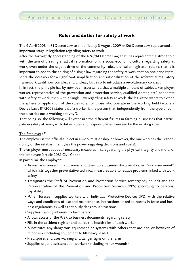#### **Roles and duties for safety at work**

The 9 April 2008 nr.81 Decree Law, as modified by 3 August 2009 nr.106 Decree Law, represented an important stage in legislation regarding safety at work.

After the fortnightly good standing of the 626/94 Decree Law, that has represented a stronghold with the aim of creating a radical reformation of the social-economic culture regarding safety at work, even under the urgent drive of the community rules, the Italian legislator retains that it is important to add to the editing of a single law regarding the safety at work that on one hand represents the occasion for a significant simplification and rationalization of the referential regulatory framework (until now complex and unclear) but also to introduce a revolutionary concept.

If, in fact, the principle has by now been ascertained that a multiple amount of subjects (employer, worker, representative of the prevention and protection service, qualified doctor, etc.) cooperate with safety at work, then with a Single Law regarding safety at work, the legislator wants to extend the sphere of application of the rules to all of those who operate in the working field (article 2 Decree Laws 81/2008 states that "a worker is the person that, independently from the type of contract, carries out a working activity").

That being so, the following will synthesize the different figures in farming businesses that participate in safety at work, with duties, roles and responsibilities foreseen by the existing rules.

#### The Employer (E)

The employer is the official subject in a work relationship, or however, the one who has the responsibility of the establishment (has the power regarding decisions and costs).

The employer must adopt all necessary measures in safeguarding the physical integrity and moral of the employee (article 2087 Civil Code).

In particular, the Employer:

- *•* Assess risks present in a business and draw up a business document called "risk assessment", which lists together preventative technical measures able to reduce problems linked with work safety
- *•* Designates the Staff of Prevention and Protection Service (emergency squad) and the Representative of the Prevention and Protection Service (RPPS) according to personal capability
- *•* When foreseen, supplies workers with Individual Protective Devices (IPD) with the relative ways and conditions of use and maintenance, instructions linked to norms in force and business regulations as well as seriously dangerous situations
- *•* Supplies training inherent to farm safety
- *•* Allows access of the WSR to business documents regarding safety
- *•* Fills in the accident register and stores the health files of each worker
- *•* Substitutes any dangerous equipment or systems with others that are not, or however of minor risk (including equipment to lift heavy loads)
- *•* Predisposes and uses warning and danger signs on the farm
- *•* Supplies urgent assistance for workers (including minor wounds).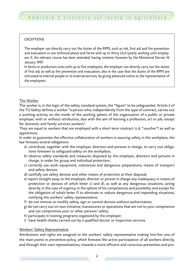#### *EXCEPTIONS*

The employer can directly carry out the duties of the RPPS, such as risk, first aid and fire prevention and evacuation in zoo technical places and farms with up to thirty ULA (yearly working unit) employees if, the relevant course has been attended, having contents foreseen by the Ministerial Decree 16 January 1997.

In farms or production units with up to five employees, the employer can directly carry out the duties of first aid, as well as fire prevention and evacuation, also in the case that the duties of the RPPS are entrusted to internal people or to external services, by giving advanced notice to the representative of the employees.

#### The Worker

The worker is, in the logic of the safety standard system, the "figure" to be safeguarded. Article 2 of the TU Safety defines a worker "a person who, independently from the type of contract, carries out a working activity on the inside of the working sphere of the organization of a public or private employer, with or without retribution, also with the aim of learning a profession, art or job, except for domestic and family services workers".

They are equal to workers that are employed with a short term contract (c.d. "voucher") as well as apprentices.

In order to guarantee the effective collaboration of workers in assuring safety in the workplace, the law foresees several obligations:

- a) contribute, together with the employer, directors and persons in charge, to carry out obligations foreseen to safeguard safety on the workplace;
- b) observe safety standards and measures disposed by the employer, directors and persons in charge, in order for group and individual protection;
- c) correctly use work equipment, substances and dangerous preparations, means of transport and safety devices
- d) carefully use safety devices and other means of protection at their disposal;
- e) report straight away to the employer, director or person in charge any inadequacy in means of protection or devices of which letter c) and d), as well as any dangerous situations, acting directly, in the case of urgency, in the sphere of his competences and possibility and except for the obligation of which letter f) to eliminate or reduce dangerous and impending situations, notifying the workers' safety representative;
- f) do not remove or modify safety, sign or control devices without authorization;
- g) do not carry out on own initiative, manoeuvres or operations that are not to your competence and can compromise your or other persons' safety;
- h) participate in training programs organized by the employer;
- i) have health checks carried out by a qualified doctor or inspection services.

#### Workers' Safety Representative

Attributions and rights are assigned to the workers' safety representative making him/her one of the main points in preventive policy, which foresees the active participation of all workers directly, and through their own representatives, towards a more efficient and conscious prevention and pro-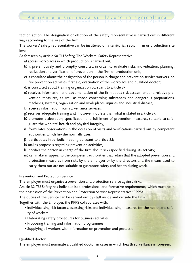tection action. The designation or election of the safety representative is carried out in different ways according to the size of the firm.

The workers' safety representative can be instituted on a territorial, sector, firm or production site level.

As foreseen by article 50 TU Safety, The Workers' Safety Representative:

- a) access workplaces in which production is carried out;
- b) is pre-emptively and promptly consulted in order to evaluate risks, individuation, planning, realization and verification of prevention in the firm or production unit;
- c) is consulted about the designation of the person in charge and prevention service workers, on fire prevention activities, first aid, evacuation of the workplace and qualified doctor;
- d) is consulted about training organization pursuant to article 37;
- e) receives information and documentation of the firm about risk assessment and relative prevention measures, as well as those concerning substances and dangerous preparations, machines, systems, organization and work places, injuries and industrial disease;
- f) receives information from surveillance services;
- g) receives adequate training and , however, not less than what is stated in article 37;
- h) promotes elaboration, specification and fulfilment of prevention measures, suitable to safeguard the workers' health and physical integrity;
- i) formulates observations in the occasion of visits and verifications carried out by competent authorities which he/she normally uses;
- j) participates in periodic meeting pursuant to article 35;
- k) makes proposals regarding prevention activities;
- l) notifies the person in charge of the firm about risks specified during its activity;
- m) can make an appeal to the competent authorities that retain that the adopted prevention and protection measures from risks by the employer or by the directors and the means used to carry them out are not suitable to guarantee safety and health during work.

#### Prevention and Protection Service

The employer must organise a prevention and protection service against risks.

Article 32 TU Safety has individualised professional and formative requirements, which must be in the possession of the Prevention and Protection Service Representative (RPPS).

The duties of the Service can be carried out by staff inside and outside the firm.

Together with the Employer, the RPPS collaborates with:

- Individualising risk factors, assessing risks and individualising measures for the health and safety of workers.
- *•* Elaborating safety procedures for business activities
- *•* Proposing training and information programmes
- *•* Supplying all workers with information on prevention and protection

#### Qualified doctor

The employer must nominate a qualified doctor, in cases in which health surveillance is foreseen.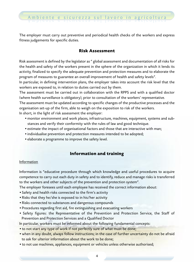The employer must carry out preventive and periodical health checks of the workers and express fitness judgements for specific duties.

#### **Risk Assessment**

Risk assessment is defined by the legislator as " global assessment and documentation of all risks for the health and safety of the workers present in the sphere of the organization in which it lends its activity, finalized to specify the adequate prevention and protection measures and to elaborate the program of measures to guarantee an overall improvement of health and safety levels".

In particular, in defining intervention plans, the employer takes into account the risk level that the workers are exposed to, in relation to duties carried out by them.

The assessment must be carried out in collaboration with the RPPS and with a qualified doctor (where health surveillance is obligatory), prior to consultation of the workers' representative.

The assessment must be updated according to specific changes of the productive processes and the organisation set-up of the firm, able to weigh on the exposition to risk of the workers. In short, in the light of risk assessment the employer:

- *•* monitor environment and work places, infrastructure, machines, equipment, systems and sub
	- stances and verify their conformity with the rules of law and good technique.
- *•* estimate the impact of organisational factors and those that are interactive with man;
- *•* individualise prevention and protection measures intended to be adopted;
- *•* elaborate a programme to improve the safety level.

#### **Information and training**

#### **Information**

Information is "educative procedure through which knowledge and useful procedures to acquire competence to carry out each duty in safety and to identify, reduce and manage risks is transferred to the workers and other subjects of the prevention and protection system".

The employer foresees until each employee has received the correct information about:

- *•* Safety and health risks connected to the firm's activity
- *•* Risks that they he/she is exposed to in his/her activity
- *•* Risks connected to substances and dangerous compounds
- *•* Procedures regarding first aid, fire extinguishing and evacuating workers
- *•* Safety figures: the Representative of the Prevention and Protection Service, the Staff of Prevention and Protection Services and a Qualified Doctor

In particular, workers must be informed about the following fundamental concepts:

- *•* to not start any type of work if not perfectly sure of what must be done;
- *•* when in any doubt, always follow instructions; in the case of further uncertainty do not be afraid to ask for ulterior information about the work to be done;
- *•* to not use machines, appliances, equipment or vehicles unless otherwise authorised;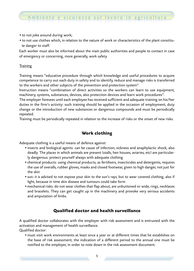- *•* to not joke around during work;
- *•* to not use clothes which, in relation to the nature of work or characteristics of the plant constitute danger to staff.

Each worker must also be informed about the main public authorities and people to contact in case of emergency or concerning, more generally, work safety.

#### **Training**

Training means "educative procedure through which knowledge and useful procedures to acquire competence to carry out each duty in safety and to identify, reduce and manage risks is transferred to the workers and other subjects of the prevention and protection system".

Instruction means "combination of direct activities so the workers can learn to use equipment, machinery, systems, substances, devices, also protection devices and learn work procedures".

The employer foresees until each employee has received sufficient and adequate training on his/her duties in the firm's activity: such training should be applied in the occasion of employment, duty change or the introduction of new substances or dangerous compounds and must be periodically repeated.

Training must be periodically repeated in relation to the increase of risks or the onset of new risks.

#### **Work clothing**

Adequate clothing is a useful means of defence against:

- *•* insects and biological agents: can be cause of infection, sickness and anaphylactic shock, also deadly. The places in which animals are present (stalls, hen houses, aviaries, etc) are particularly dangerous: protect yourself always with adequate clothing
- *•* chemical products: using chemical products, as fertilisers, insecticides and detergents, requires the use of overalls, rubber gloves, masks and closed footwear, given to high danger, not just for the skin
- *•* sun: it is advised to not expose your skin to the sun's rays, but to wear covered clothing, also if light, because in time skin disease and tumours could take form
- *•* mechanical risks: do not wear clothes that flap about, are unbuttoned or wide, rings, necklaces and bracelets. They can get caught up in the machinery and provoke very serious accidents and amputation of limbs.

#### **Qualified doctor and health surveillance**

A qualified doctor collaborates with the employer with risk assessment and is entrusted with the activation and management of health surveillance.

Qualified doctor:

*•* must visit work environments at least once a year or at different times that he establishes on the base of risk assessment; the indication of a different period to the annual one must be notified to the employer, in order to note down in the risk assessment document.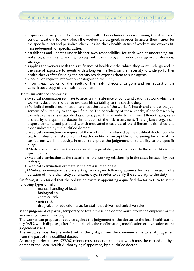- *•* disposes the carrying out of preventive health checks (intent on ascertaining the absence of contraindications to work which the workers are assigned, in order to assess their fitness for the specific duty) and periodical check-ups (to check health status of workers and express fitness judgement for specific duties);
- *•* establishes and updates under his/her own responsibility, for each worker undergoing surveillance, a health and risk file, to keep with the employer in order to safeguard professional secrecy;
- *•* supplies the workers with the significance of health checks, which they must undergo and, in the case of exposure to agents with a long term effect, on the necessity to undergo further health checks after finishing the activity which exposes them to such agents;
- *•* supplies, on request, information analogous to the RPPS;
- *•* informs each worker of the results of the health checks undergone and, on request of the same, issue a copy of the health document.

Health surveillance comprises:

- a) Medical examination estimate to ascertain the absence of contraindications at work which the worker is destined in order to evaluate his suitability to the specific duty;
- b) Periodical medical examination to check the state of the worker's health and express the judgement of suitability to the specific duty. The periodicity of these checks, if not foreseen by the relative rules, is established as once a year. This periodicity can have different rates, established by the qualified doctor in function of the risk assessment. The vigilance organ can dispose contents and periodicity, with motivated measures, of the different health checks to those indicated by the qualified doctor;
- c) Medical examination on request of the worker, if it is retained by the qualified doctor correlated to professional risks or to his health conditions, susceptible to worsening because of the carried out working activity, in order to express the judgement of suitability to the specific duty;
- d) Medical examination in the occasion of change of duty in order to verify the suitability to the specific duty;
- e) Medical examination at the cessation of the working relationship in the cases foreseen by laws in force;
- f) Medical examination estimate in the pre-assumed phase;
- g) Medical examination before starting work again, following absence for health reasons of a duration of more than sixty continuous days, in order to verify the suitability to the duty.

On farms, it is retained that the obligation exists in appointing a qualified doctor to turn to in the following types of risk:

- manual handling of loads
- biological risk
- chemical risk
- noise risk
- drug/alcohol addiction tests for staff that drive mechanical vehicles

In the judgement of partial, temporary or total fitness, the doctor must inform the employer or the worker it concerns in writing.

The worker can propose a recourse against the judgement of the doctor to the local health authority (ASL), which disposes, after further checks, the confirmation, modification or revocation of the judgement itself.

The recourse must be presented within thirty days from the communicative date of judgement from the part of the qualified doctor.

According to decree laws 977/67, minors must undergo a medical which must be carried out by a doctor of the Local Health Authority or, if appointed, by a qualified doctor.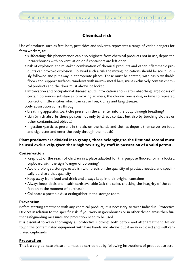#### **Chemical risk**

Use of products such as fertilisers, pesticides and solvents, represents a range of varied dangers for farm workers, as:

- *•* suffocating: this phenomenon can also originate from chemical products not in use, deposited in warehouses with no ventilation or if containers are left open.
- *•* risk of explosion: the mistaken combination of chemical products and other inflammable products can provoke explosion. To avoid such a risk the mixing indications should be scrupulously followed and put away in appropriate places. These must be aerated, with easily washable floors and support surfaces, windows with narrow metal bars, must exclusively contain chemical products and the door must always be locked.
- *•* Intoxication and occupational disease: acute intoxication shows after absorbing large doses of certain poisonous substances, provoking sickness, the chronic one is due, in time to repeated contact of little entities which can cause liver, kidney and lung disease.

Body absorption comes through:

- *•* breathing apparatus (particles present in the air enter into the body through breathing)
- *•* skin (which absorbs these poisons not only by direct contact but also by touching clothes or other contaminated objects)
- *•* ingestion (particles present in the air, on the hands and clothes deposit themselves on food and cigarettes and enter the body through the mouth)

#### **Plant products are divided into groups, those belonging to the first and second must be used exclusively, given their high toxicity, by staff in possession of a valid permit.**

#### **Conservation**

- Keep out of the reach of children in a place adapted for this purpose (locked) or in a locked cupboard with the sign "danger of poisoning"
- *•* Avoid prolonged storage: establish with precision the quantity of product needed and specifically purchase that quantity
- *•* Keep away from food and drink and always keep in their original container
- *•* Always keep labels and health cards available (ask the seller, checking the integrity of the confection at the moment of purchase)
- *•* Collocate a portable dust extinguisher in the storage room

#### **Prevention**

Before starting treatment with any chemical product, it is necessary to wear Individual Protective Devices in relation to the specific risk. If you work in greenhouses or in other closed areas then further safeguarding measures and protection need to be used.

It is essential to wash thoroughly all protective clothing, both before and after treatment. Never touch the contaminated equipment with bare hands and always put it away in closed and well ventilated cupboards.

#### **Preparation**

This is a very delicate phase and must be carried out by following instructions of product use scru-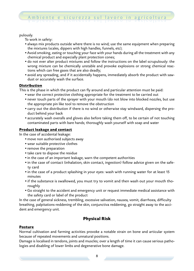#### pulously.

To work in safety:

- *•* always mix products outside where there is no wind; use the same equipment when preparing the mixtures (scales, dippers with high handles, funnels, etc);
- *•* Avoid smoking, eating or touching your face with your hands during all the treatment with any chemical product and especially plant protection cones;
- *•* do not ever alter product mixtures and follow the instructions on the label scrupulously: the wrong mixture can be chemically unstable and provoke explosions or strong chemical reactions which can free gases that are also deadly;
- *•* avoid any spreading, and if it accidentally happens, immediately absorb the product with sawdust or accurately wash the surface.

#### **Distribution**

This is the phase in which the product can fly around and particular attention must be paid:

- *•* wear the correct protective clothing appropriate for the treatment to be carried out
- *•* never touch parts of the sprayer with your mouth (do not blow into blocked nozzles, but use the appropriate pin like tool to remove the obstruction
- *•* carry out the distribution if there is no wind or otherwise stay windward, dispersing the product behind your back
- *•* accurately wash overalls and gloves also before taking them off, to be certain of not touching contaminated parts with bare hands; thoroughly wash yourself with soap and water

#### **Product leakage and contact**

In the case of accidental leakage:

- *•* move non authorised subjects away
- *•* wear suitable protective clothes
- *•* remove the preparation
- *•* take care to dispose the residue
- *•* in the case of an important leakage, warn the competent authorities
- *•* in the case of contact (inhalation, skin contact, ingestion) follow advice given on the safety card
- *•* in the case of a product splashing in your eyes: wash with running water for at least 15 minutes
- *•* if the substance is swallowed, you must try to vomit and then wash out your mouth thoroughly
- *•* Go straight to the accident and emergency unit or request immediate medical assistance with the safety card or label of the product

In the case of general sickness, trembling, excessive salivation, nausea, vomit, diarrhoea, difficulty breathing, palpitations-reddening of the skin, conjunctiva reddening, go straight away to the accident and emergency unit.

#### **Physical Risk**

#### **Posture**

Normal cultivation and farming activities provoke a notable strain on bone and articular system because of repeated movements and unnatural positions.

Damage is localised in tendons, joints and muscles; over a length of time it can cause serious pathologies and disabling of lower limbs and degenerative bone damage.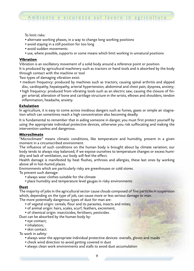To limit risks:

- *•* alternate working phases, in a way to change long working positions
- *•* avoid staying in a still position for too long
- *•* avoid sudden movements
- *•* use, where possible, supports or some means which limit working in unnatural positions

#### **Vibration**

Vibration is an oscillatory movement of a solid body around a reference point or position.

It is produced by agricultural machinery such as tractors or hand tools and is absorbed by the body through contact with the machine or tool

Two types of damaging vibration exist:

- *•* medium frequency: produced by machines such as tractors; causing spinal arthritis and slipped disc, cardiopathy, hepatopathy, arterial hypertension, abdominal and chest pain, dyspnea, anxiety;
- *•* high frequency: produced from vibrating tools such as an electric saw; causing the closure of finger arterial; alteration of bone and cartilage structure in the wrists, elbows and shoulders, tendon inflammation, headache, anxiety.

#### **Exhalation**

In agriculture, it is easy to come across insidious dangers such as fumes, gases or simple air stagnation which can sometimes reach a high concentration also becoming deadly.

It is fundamental to remember that in aiding someone in danger, you must first protect yourself by using the appropriate individual protective devices, otherwise you risk suffocating and making the intervention useless and dangerous.

#### **Microclimate**

"Microclimate" means climatic conditions, like temperature and humidity, present in a given moment in a circumscribed environment.

The influence of such conditions on the human body is brought about by climate variation; our body tends to always stay balanced; if we expose ourselves to temperature changes or excess humidity and lack of ventilation, our body will feel the effect.

Health damage is manifested by heat flushes, arthrosis and allergies, these last ones by working above all in hot-humid places.

Environments which are particularly risky are greenhouses or cold stores.

To prevent such damage:

- *•* always wear clothes suitable for the climate
- *•* place humidity and temperature level gauges in risky environments

#### **Dust**

The majority of jobs in the agricultural sector cause clouds composed of fine particles in suspension which, depending on the type of job, can cause more or less serious damage to man.

The more potentially dangerous types of dust for man are:

- *•* of vegetal origin: cereals, flour and its parasites, insects and mites;
- *•* of animal origin: hairs, scales, scurf, feathers, excrement;
- *•* of chemical origin: insecticides, fertilisers, pesticides.

Dust can be absorbed by the human body by:

- *•* eye contact;
- *•* inhalation;
- *•* skin contact.

To work in safety:

- always wear the appropriate individual protective devices: overalls, gloves and masks
- *•* check wind direction to avoid getting covered in dust
- always clean work environments and stalls to avoid dust accumulation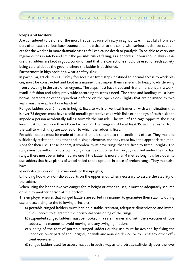#### **Steps and ladders**

Are considered to be one of the most frequent cause of injury in agriculture, in fact falls from ladders often cause serious back trauma and in particular to the spine with serious health consequences for the worker. In more dramatic cases a fall can cause death or paralysis. To be able to carry out regular duties in safety and limit the possible risk of falling, as a general rule you should always assure that ladders are kept in good condition and that the correct one should be used for each activity, being careful about the ground where the ladder is positioned.

Furthermore in high positions, wear a safety sling.

In particular, article 113 TU Safety foresees that fixed steps, destined to normal access to work places, must be constructed and kept in a manner that makes them resistant to heavy loads deriving from crowding in the case of emergency. The steps must have tread and riser dimensioned in a workmanlike fashion and adequately wide according to transit need. The steps and landings must have normal parapets or other equivalent defence on the open sides. Flights that are delimited by two walls must have at least one handrail.

Runged ladders over 5 metres in height, fixed to walls or vertical frames or with an inclination that is over 75 degrees must have a solid metallic protective cage with links or openings of such a size to impede a person accidentally falling towards the outside. The wall of the cage opposite the rung level must not be more than 60 cm far from it. The rungs must be at least 15 centimetres far from the wall to which they are applied or to which the ladder is fixed.

Portable ladders must be made of material that is suitable to the conditions of use. They must be sufficiently resistant all together and in single elements and they must have the appropriate dimensions for their use. These ladders, if wooden, must have rungs that are fixed to fitted uprights. The rungs must be without knots. Such rungs must be supported by iron guys applied under the two last rungs; there must be an intermediate one if the ladder is more than 4 metres long. It is forbidden to use ladders that have planks of wood nailed to the uprights in place of broken rungs. They must also have:

a) non-slip devices on the lower ends of the uprights;

b) holding hooks or non-slip supports on the upper ends, when necessary to assure the stability of the ladder.

When using the ladder involves danger for its height or other causes, it must be adequately secured or held by another person at the bottom.

The employer ensures that runged ladders are sorted in a manner to guarantee their stability during use and according to the following principles:

- a) portable runged ladders must lean on a stable, resistant, adequate dimensioned and immobile support, to guarantee the horizontal positioning of the rungs;
- b) suspended runged ladders must be hooked in a safe manner and with the exception of rope ladders, in a manner to avoid moving and any swinging motion;
- c) slipping of the foot of portable runged ladders during use must be avoided by fixing the upper or lower part of the uprights, or with any non-slip device, or by using any other efficient equivalent;

d) runged ladders used for access must be in such a way as to protrude sufficiently over the level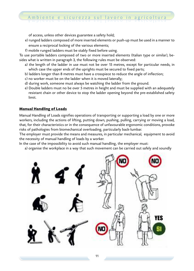of access, unless other devices guarantee a safety hold;

- e) runged ladders composed of more inserted elements or push-up must be used in a manner to ensure a reciprocal locking of the various elements;
- f) mobile runged ladders must be stably fixed before using.

To use portable ladders composed of two or more inserted elements (Italian type or similar), besides what is written in paragraph 3, the following rules must be observed:

- a) the length of the ladder in use must not be over 15 metres, except for particular needs, in which case the upper ends of the uprights must be secured to fixed parts;
- b) ladders longer than 8 metres must have a crosspiece to reduce the angle of inflection;
- c) no worker must be on the ladder when it is moved laterally;
- d) during work, someone must always be watching the ladder from the ground.
- e) Double ladders must no be over 5 metres in height and must be supplied with an adequately resistant chain or other device to stop the ladder opening beyond the pre-established safety limit.

#### **Manual Handling of Loads**

Manual Handling of Loads signifies operations of transporting or supporting a load by one or more workers, including the actions of lifting, putting down, pushing, pulling, carrying or moving a load, that, for their characteristics or in the consequence of unfavourable ergonomic conditions, provoke risks of pathologies from biomechanical overloading, particularly back-lumbar.

The employer must provide the means and measures, in particular mechanical, equipment to avoid the necessity of manual handling of loads by a worker.

In the case of the impossibility to avoid such manual handling, the employer must:

a) organise the workplace in a way that such movement can be carried out safely and soundly

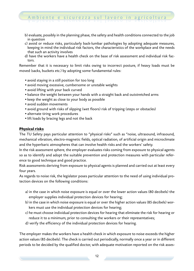- b) evaluate, possibly in the planning phase, the safety and health conditions connected to the job in question
- c) avoid or reduce risks, particularly back-lumbar pathologies by adopting adequate measures, keeping in mind the individual risk factors, the characteristics of the workplace and the needs that such an activity involves
- d) have the workers have a health check on the base of risk assessment and individual risk factors.

Remember that it is necessary to limit risks owing to incorrect posture, if heavy loads must be moved (sacks, buckets etc.) by adopting some fundamental rules:

- *•* avoid staying in a still position for too long
- *•* avoid moving excessive, cumbersome or unstable weights
- *•* avoid lifting with your back curved
- *•* balance the weight between your hands with a straight back and outstretched arms
- *•* keep the weight as close to your body as possible
- *•* avoid sudden movements
- *•* avoid ground with risks of slipping (wet floors) risk of tripping (steps or obstacles)
- *•* alternate tiring work procedures
- *•* lift loads by bracing legs and not the back

#### **Physical risks**

The TU Safety pays particular attention to "physical risks" such as "noise, ultrasound, infrasound, mechanical vibration, electro-magnetic fields, optical radiation, of artificial origin and microclimate and the hyperbaric atmospheres that can involve health risks and the workers' safety.

In the risk assessment sphere, the employer evaluates risks coming from exposure to physical agents so as to identify and adopt the suitable prevention and protection measures with particular reference to good technique and good practice.

Risk assessments deriving from exposure to physical agents is planned and carried out at least every four years.

As regards to noise risk, the legislator poses particular attention to the need of using individual protection devices on the following conditions:

- a) in the case in which noise exposure is equal or over the lower action values (80 decibels) the employer supplies individual protection devices for hearing;
- b) in the case in which noise exposure is equal or over the higher action values (85 decibels) workers must use the individual protection devices for hearing;
- c) he must choose individual protection devices for hearing that eliminate the risk for hearing or reduce it to a minimum, prior to consulting the workers or their representatives;
- d) verify the efficiency of the individual protection devices for hearing.

The employer makes the workers have a health check in which exposure to noise exceeds the higher action values (85 decibels). The check is carried out periodically, normally once a year or in different periods to be decided by the qualified doctor, with adequate motivation reported on the risk asses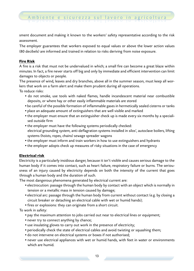sment document and making it known to the workers' safety representative according to the risk assessment.

Ambiente e sicurezza sul lavoro in agricoltura

The employer guarantees that workers exposed to equal values or above the lower action values (80 decibels) are informed and trained in relation to risks deriving from noise exposure.

#### **Fire Risk**

A fire is a risk that must not be undervalued in which; a small fire can become a great blaze within minutes. In fact, a fire never starts off big and only by immediate and efficient intervention can limit damages to objects or people.

The presence of wind, leaves and dry branches, above all in the summer season, must keep all workers that work on a farm alert and make them prudent during all operations. To reduce risks:

- *•* do not smoke, use tools with naked flames, handle incandescent material near combustible deposits, or where hay or other easily inflammable materials are stored
- *•* be careful of the possible formation of inflammable gases in hermetically sealed cisterns or tanks
- *•* place an adequate amount of extinguishers that are well visible and marked
- *•* the employer must ensure that an extinguisher check up is made every six months by a specialised outside firm
- *•* the employer must have the following systems periodically checked: electrical grounding system, anti-deflagration systems installed in silos', autoclave boilers, lifting systems (hoists, ropes, chains) sewage spreader wagons
- *•* the employer must inform and train workers in how to use extinguishers and hydrants
- *•* the employer adopts check up measures of risky situations in the case of emergency

#### **Electrical risk**

Electricity is a particularly insidious danger, because it isn't visible and causes serious damage to the human body if it comes into contact, such as heart failure, respiratory failure or burns. The seriousness of an injury caused by electricity depends on both the intensity of the current that goes through a human body and the duration of such.

The most dangerous phenomena generated by electrical current are:

- *•* electrocution: passage through the human body by contact with an object which is normally in tension or a metallic mass in tension caused by damage;
- *•* electrical arc: passage through the human body from current without contact (e.g. by closing a circuit breaker or detaching an electrical cable with wet or humid hands);
- *•* fires or explosions: they can originate from a short circuit.

To work in safety:

- *•* pay the maximum attention to jobs carried out near to electrical lines or equipment;
- *•* never try to connect anything by chance;
- *•* use insulating gloves to carry out work in the presence of electricity;
- *•* periodically check the state of electrical cables and avoid twisting or squashing them;
- *•* do not intervene on electrical systems or boxes if not authorised;
- *•* never use electrical appliances with wet or humid hands, with feet in water or environments which are humid.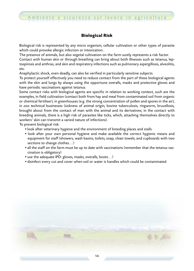#### **Biological Risk**

Biological risk is represented by any micro organism, cellular cultivation or other types of parasite which could provoke allergic infection or intoxication.

The presence of animals, but also vegetal cultivation on the farm surely represents a risk factor.

Contact with human skin or through breathing can bring about both illnesses such as tetanus, leptospirosis and anthrax, and skin and respiratory infections such as pulmonary aspergillosis, alveolitis, etc.

Anaphylactic shock, even deadly, can also be verified in particularly sensitive subjects.

To protect yourself effectively you need to reduce contact from the part of these biological agents with the skin and lungs by always using the opportune overalls, masks and protective gloves and have periodic vaccinations against tetanus.

Some contact risks with biological agents are specific in relation to working context, such are the examples, in field cultivation (contact both from hay and meal from contaminated soil from organic or chemical fertiliser), in greenhouses (e.g. the strong concentration of pollen and spores in the air), in zoo technical businesses (sickness of animal origin, bovine tuberculosis, ringworm, brucellosis, brought about from the contact of man with the animal and its derivatives; in the contact with breeding animals, there is a high risk of parasites like ticks, which, attaching themselves directly to workers' skin can transmit a varied nature of infections).

To prevent biological risk:

- *•* look after veterinary hygiene and the environment of breeding places and stalls
- *•* look after your own personal hygiene and make available the correct hygienic means and equipment for staff (showers, wash basins, toilets, soap, clean towels, and cupboards with two sections to change clothes*…*)
- all the staff on the farm must be up to date with vaccinations (remember that the tetanus vaccination is obligatory)
- *•* use the adequate IPD: gloves, masks, overalls, boots*…*)
- *•* disinfect every cut and cover when soil or water is handles which could be contaminated

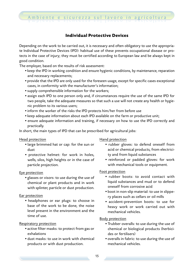#### **Individual Protective Devices**

Depending on the work to be carried out, it is necessary and often obligatory to use the appropriate Individual Protective Devices (IPD): habitual use of these prevents occupational disease or protects in the case of injury; they must be certified according to European law and be always kept in good condition.

The employer, based on the results of risk assessment:

- *•* keep the IPD in working condition and ensure hygienic conditions, by maintenance, reparation and necessary replacements;
- *•* provide that the IPD are only used for the foreseen usage, except for specific cases exceptional cases, in conformity with the manufacturer's information;
- *•* supply comprehensible information for the workers;
- *•* assign each IPD to one person only and, if circumstances require the use of the same IPD for two people, take the adequate measures so that such a use will not create any health or hygienic problem to its various users;
- *•* inform the worker of the risks the IPD protects him/her from before use
- *•* keep adequate information about each IPD available on the farm or productive unit;
- *•* ensure adequate information and training, if necessary on how to use the IPD correctly and practically.

In short, the main types of IPD that can be prescribed for agricultural jobs:

#### Head protection

- *•* large brimmed hat or cap: for the sun or dust
- *•* protective helmet: for work in holes, wells, silos, high heights or in the case of particle projection.

#### Eye protection

*•* glasses or visors: to use during the use of chemical or plant products and in work with splinter, particle or dust production.

#### Ear protection

*•* headphones or ear plugs: to choose in base of the work to be done, the noise level present in the environment and the time of use.

#### Respiratory protection

- *•* active filter masks: to protect from gas or exhalations
- *•* dust masks: to use in work with chemical products or with dust production.

Hand protection

- *•* rubber gloves: to defend oneself from acid or chemical products, from electricity and from liquid substances
- *•* reinforced or padded gloves: for work with mechanical tools or equipment.

#### Foot protection

- *•* rubber boots: to avoid contact with liquid substances and mud or to defend oneself from corrosive acid
- *•* boot in non-slip material: to use in slippery places such as cellars or oil mills
- *•* accident-prevention boots: to use for heavy work or work carried out with mechanical vehicles.

#### Body protection

- *•* Trubber overalls: to use during the use of chemical or biological products (herbicides or fertilisers)
- *•* overalls in fabric: to use during the use of mechanical vehicles.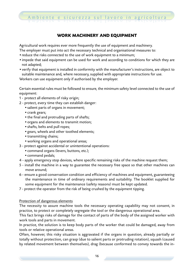

#### **WORK MACHINERY AND EQUIPMENT**

Agricultural work requires ever more frequently the use of equipment and machinery.

- The employer must put into act the necessary technical and organisational measures to:
- *•* reduce the risks connected to the use of work equipment to a minimum;
- *•* impede that said equipment can be used for work and according to conditions for which they are not adapted;
- *•* verify that equipment is installed in conformity with the manufacturer's instructions, are object to suitable maintenance and, where necessary, supplied with appropriate instructions for use.

Workers can use equipment only if authorised by the employer.

Certain essential rules must be followed to ensure, the minimum safety level connected to the use of equipment:

- 1 protect all elements of risky origin;
- 2 protect, every time they can establish danger:
	- *•* salient parts of organs in movement;
	- *•* crank gears;
	- *•* the final and protruding parts of shafts;
	- *•* organs and elements to transmit motion;
	- *•* shafts, belts and pull ropes;
	- *•* gears, wheels and other toothed elements;
	- *•* transmitting chains;
	- *•* working organs and operational areas;
- 3 protect against accidental or unintentional operations:
	- *•* command organs (levers, buttons, etc.);
	- *•* command pedals;
- 4 apply emergency stop devices, where specific remaining risks of the machine request them;
- 5 install the machine in a way to guarantee the necessary free space so that other machines can move around;
- 6 ensure a good conservation condition and efficiency of machines and equipment, guaranteeing the maintenance in time of ordinary requirements and suitability. The booklet supplied for some equipment for the maintenance (safety reasons) must be kept updated.
- 7 protect the operator from the risk of being crushed by the equipment tipping.

#### Protection of dangerous elements

The necessity to assure machine tools the necessary operating capability may not consent, in practice, to protect or completely segregate the tool or the dangerous operational area.

This fact brings risks of damage for the contact of parts of the body of the assigned worker with work tools and parts in movement.

In practice, the solution is to keep body parts of the worker that could be damaged, away from tools or relative operational areas.

Often, however, this risky situation is aggravated if the organs in question, already partially or totally without protection, can grasp (due to salient parts or protruding rotation), squash (caused by related movement between themselves), drag (because conformed to convey towards the in-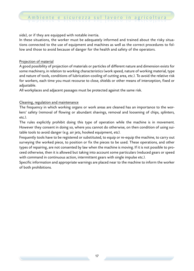side), or if they are equipped with notable inertia.

In these situations, the worker must be adequately informed and trained about the risky situations connected to the use of equipment and machines as well as the correct procedures to follow and those to avoid because of danger for the health and safety of the operators.

#### Projection of material

A good possibility of projection of materials or particles of different nature and dimension exists for some machinery, in relation to working characteristics (work speed, nature of working material, type and nature of tools, conditions of lubrication-cooling of cutting area, etc.). To avoid the relative risk for workers, each time you must recourse to close, shields or other means of interception, fixed or adjustable.

All workplaces and adjacent passages must be protected against the same risk.

#### Cleaning, regulation and maintenance

The frequency in which working organs or work areas are cleaned has an importance to the workers' safety (removal of flowing or abundant shavings, removal and loosening of chips, splinters, etc.).

The rules explicitly prohibit doing this type of operation while the machine is in movement. However they consent in doing so, where you cannot do otherwise, on then condition of using suitable tools to avoid danger (e.g. air jets, hooked equipment, etc).

Frequently tools have to be registered or substituted, to equip or re-equip the machine, to carry out surveying the worked piece, to position or fix the pieces to be used. These operations, and other types of repairing, are not consented by law when the machine is moving. If it is not possible to proceed otherwise, then it is allowed but taking into account some particulars (reduced gears or speed with command in continuous action, intermittent gears with single impulse etc.).

Specific information and appropriate warnings are placed near to the machine to inform the worker of both prohibitions.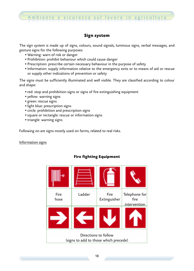#### **Sign system**

The sign system is made up of signs, colours, sound signals, luminous signs, verbal messages, and gesture signs for the following purposes:

- *•* Warning: warn of risk or danger
- *•* Prohibition: prohibit behaviour which could cause danger
- *•* Prescription: prescribe certain necessary behaviour in the purpose of safety
- *•* Information: supply information relative to the emergency exits or to means of aid or rescue or supply other indications of prevention or safety

The signs must be sufficiently illuminated and well visible. They are classified according to colour and shape:

- *•* red: stop and prohibition signs or signs of fire extinguishing equipment
- *•* yellow: warning signs
- *•* green: rescue signs
- *•* light blue: prescription signs
- *•* circle: prohibition and prescription signs
- *•* square or rectangle: rescue or information signs
- *•* triangle: warning signs

Following on are signs mostly used on farms, related to real risks.

#### Information signs



#### **Fire fighting Equipment**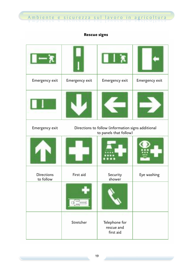#### **Rescue signs**

Ambiente e sicurezza sul lavoro in agricoltura

| Emergency exit                 | Emergency exit                                                               | Emergency exit                           | Emergency exit |
|--------------------------------|------------------------------------------------------------------------------|------------------------------------------|----------------|
|                                |                                                                              |                                          |                |
| Emergency exit                 | Directions to follow (information signs additional<br>to panels that follow) |                                          |                |
|                                |                                                                              |                                          |                |
| <b>Directions</b><br>to follow | First aid                                                                    | Security<br>shower                       | Eye washing    |
|                                |                                                                              |                                          |                |
|                                | Stretcher                                                                    | Telephone for<br>rescue and<br>first aid |                |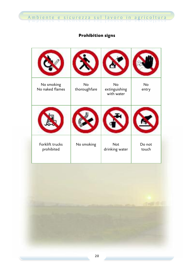### **Prohibition signs**

| No smoking<br>No naked flames | <b>No</b><br>thoroughfare | <b>No</b><br>extinguishing<br>with water | <b>No</b><br>entry |
|-------------------------------|---------------------------|------------------------------------------|--------------------|
|                               |                           |                                          |                    |
| Forklift trucks<br>prohibited | No smoking                | <b>Not</b><br>drinking water             | Do not<br>touch    |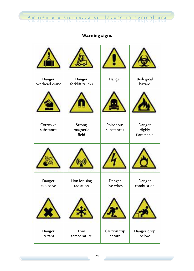### **Warning signs**

| Danger<br>overhead crane | Danger<br>forklift trucks   | Danger                  | Biological<br>hazard          |
|--------------------------|-----------------------------|-------------------------|-------------------------------|
|                          |                             |                         |                               |
| Corrosive<br>substance   | Strong<br>magnetic<br>field | Poisonous<br>substances | Danger<br>Highly<br>flammable |
|                          |                             |                         |                               |
| Danger<br>explosive      | Non ionising<br>radiation   | Danger<br>live wires    | Danger<br>combustion          |
|                          |                             |                         |                               |
| Danger<br>irritant       | Low<br>temperature          | Caution trip<br>hazard  | Danger drop<br>below          |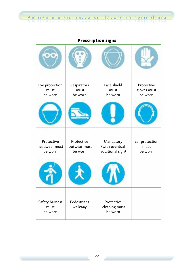**Prescription signs**

| Eye protection<br>must<br>be worn      | Respirators<br>must<br>be worn         | Face shield<br>must<br>be worn                  | Protective<br>gloves must<br>be worn |
|----------------------------------------|----------------------------------------|-------------------------------------------------|--------------------------------------|
|                                        |                                        |                                                 |                                      |
| Protective<br>headwear must<br>be worn | Protective<br>footwear must<br>be worn | Mandatory<br>(with eventual<br>additional sign) | Ear protection<br>must<br>be worn    |
|                                        |                                        |                                                 |                                      |
| Safety harness<br>must<br>be worn      | Pedestrians<br>walkway                 | Protective<br>clothing must<br>be worn          |                                      |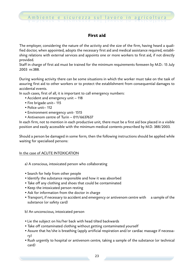#### **First aid**

The employer, considering the nature of the activity and the size of the firm, having heard a qualified doctor, when appointed, adopts the necessary first aid and medical assistance required, establishing relations with external services and appoints one or more workers to first aid, if not directly provided.

Staff in charge of first aid must be trained for the minimum requirements foreseen by M.D.: 15 July 2003 nr.388.

During working activity there can be some situations in which the worker must take on the task of assuring first aid to other workers or to protect the establishment from consequential damages to accidental events.

In such cases, first of all, it is important to call emergency numbers:

- *•* Accident and emergency unit 118
- *•* Fire brigade unit– 115
- *•* Police unit– 112
- *•* Environment emergency unit- 1515
- *•* Antivenom centre of Turin 011/6637637

In each firm, not to mention in each productive unit, there must be a first aid box placed in a visible position and easily accessible with the minimum medical contents prescribed by M.D. 388/2003.

Should a person be damaged in some form, then the following instructions should be applied while waiting for specialised persons:

#### In the case of ACUTE INTOXICATION

- a) A conscious, intoxicated person who collaborating
- *•* Search for help from other people
- *•* Identify the substance responsible and how it was absorbed
- *•* Take off any clothing and shoes that could be contaminated
- *•* Keep the intoxicated person resting
- *•* Ask for information from the doctor in charge
- Transport, if necessary to accident and emergency or antivenom centre with a sample of the substance (or safety card)

b) An unconscious, intoxicated person

- *•* Lie the subject on his/her back with head tilted backwards
- *•* Take off contaminated clothing without getting contaminated yourself
- *•* Assure that he/she is breathing (apply artificial respiration and/or cardiac massage if necessary)
- *•* Rush urgently to hospital or antivenom centre, taking a sample of the substance (or technical card)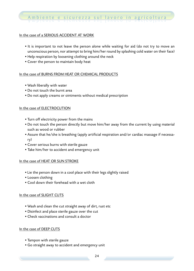#### In the case of a SERIOUS ACCIDENT AT WORK

- *•* It is important to not leave the person alone while waiting for aid (do not try to move an unconscious person, nor attempt to bring him/her round by splashing cold water on their face)
- *•* Help respiration by loosening clothing around the neck
- *•* Cover the person to maintain body heat

#### In the case of BURNS FROM HEAT OR CHEMICAL PRODUCTS

- *•* Wash liberally with water
- *•* Do not touch the burnt area
- *•* Do not apply creams or ointments without medical prescription

#### In the case of ELECTROCUTION

- *•* Turn off electricity power from the mains
- *•* Do not touch the person directly but move him/her away from the current by using material such as wood or rubber
- *•* Assure that he/she is breathing (apply artificial respiration and/or cardiac massage if necessary)
- *•* Cover serious burns with sterile gauze
- *•* Take him/her to accident and emergency unit

#### In the case of HEAT OR SUN STROKE

- *•* Lie the person down in a cool place with their legs slightly raised
- *•* Loosen clothing
- *•* Cool down their forehead with a wet cloth

#### In the case of SLIGHT CUTS

- *•* Wash and clean the cut straight away of dirt, rust etc
- *•* Disinfect and place sterile gauze over the cut
- *•* Check vaccinations and consult a doctor

#### In the case of DEEP CUTS

- *•* Tampon with sterile gauze
- *•* Go straight away to accident and emergency unit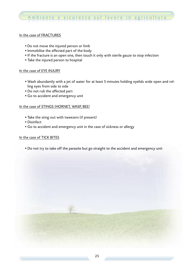#### In the case of FRACTURES

- *•* Do not move the injured person or limb
- *•* Immobilise the affected part of the body
- *•* If the fracture is an open one, then touch it only with sterile gauze to stop infection
- *•* Take the injured person to hospital

#### In the case of EYE INJURY

- *•* Wash abundantly with a jet of water for at least 5 minutes holding eyelids wide open and rolling eyes from side to side
- *•* Do not rub the affected part
- *•* Go to accident and emergency unit

#### In the case of STINGS (HORNET, WASP, BEE)

- *•* Take the sting out with tweezers (if present)
- *•* Disinfect
- *•* Go to accident and emergency unit in the case of sickness or allergy

#### In the case of TICK BITES

*•* Do not try to take off the parasite but go straight to the accident and emergency unit

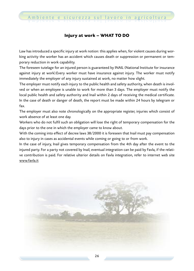#### **Injury at work – WHAT TO DO**

Law has introduced a specific injury at work notion: this applies when, for violent causes during working activity the worker has an accident which causes death or suppression or permanent or temporary reduction in work capability.

The foreseen tutelage for an injured person is guaranteed by INAIL (National Institute for insurance against injury at work).Every worker must have insurance against injury. The worker must notify immediately the employer of any injury sustained at work, no matter how slight.

The employer must notify each injury to the public health and safety authority, when death is involved or when an employee is unable to work for more than 3 days. The employer must notify the local public health and safety authority and Inail within 2 days of receiving the medical certificate. In the case of death or danger of death, the report must be made within 24 hours by telegram or fax.

The employer must also note chronologically on the appropriate register, injuries which consist of work absence of at least one day.

Workers who do not fulfil such an obligation will lose the right of temporary compensation for the days prior to the one in which the employer came to know about.

With the coming into effect of decree laws 38/2000 it is foreseen that Inail must pay compensation also to injury in cases as accidental events while coming or going to or from work.

In the case of injury, Inail gives temporary compensation from the 4th day after the event to the injured party. For a party not covered by Inail, eventual integration can be paid by Favla, if the relative contribution is paid. For relative ulterior details on Favla integration, refer to internet web site www.favla.it

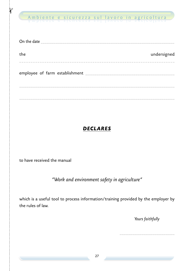# **the contract of the si**curezza sul lavoro in agricoltura<br>Ambiente e sicurezza sul lavoro in agricoltura

| On the date                                   |             |
|-----------------------------------------------|-------------|
| the                                           | undersigned |
|                                               |             |
| employee of farm establishment ______________ |             |
|                                               |             |
|                                               |             |
|                                               |             |

### *DECLARES*

to have received the manual

### *"Work and environment safety in agriculture"*

which is a useful tool to process information/training provided by the employer by the rules of law.

*Yours faithfully*

\_\_\_\_\_\_\_\_\_\_\_\_\_\_\_\_\_\_\_\_\_\_\_\_\_\_\_\_\_\_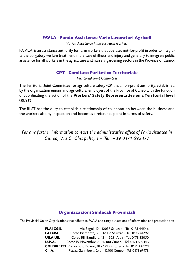#### **FAVLA - Fondo Assistenze Varie Lavoratori Agricoli**

*Varied Assistance Fund for Farm workers*

F.A.V.L.A. is an assistance authority for farm workers that operates not-for-profit in order to integrate the obligatory welfare treatment in the case of illness and injury and generally to integrate public assistance for all workers in the agriculture and nursery gardening sectors in the Province of Cuneo.

#### **CPT - Comitato Paritetico Territoriale**

*Territorial Joint Committee*

The Territorial Joint Committee for agriculture safety (CPT) is a non-profit authority, established by the organization unions and agricultural employers of the Province of Cuneo with the function of coordinating the action of the **Workers' Safety Representative on a Territorial level (RLST)**

The RLST has the duty to establish a relationship of collaboration between the business and the workers also by inspection and becomes a reference point in terms of safety.

*For any further information contact the administrative office of Favla situated in Cuneo, Via C. Chiapel lo, 1 – Tel :* +*39 0171 692477*

#### **Organizzazioni Sindacali Provinciali**

The Provincial Union Organizations that adhere to FAVLA and carry out actions of information and protection are:

**FLAI CGIL** Via Bagni, 10 - 12037 Saluzzo - Tel. 0175 44546 **FAI CISL** Corso Piemonte, 39 - 12037 Saluzzo - Tel. 0175 41292 **UILA UIL** Corso F.lli Bandiera, 13 - 12051 Alba - Tel. 0173 33050 **U.P.A.** Corso IV Novembre, 8 - 12100 Cuneo - Tel. 0171 692143 **COLDIRETTI** Piazza Foro Boario, 18 - 12100 Cuneo - Tel. 0171 447211 **C.I.A.** Piazza Galimberti, 2/b - 12100 Cuneo - Tel. 0171 67978